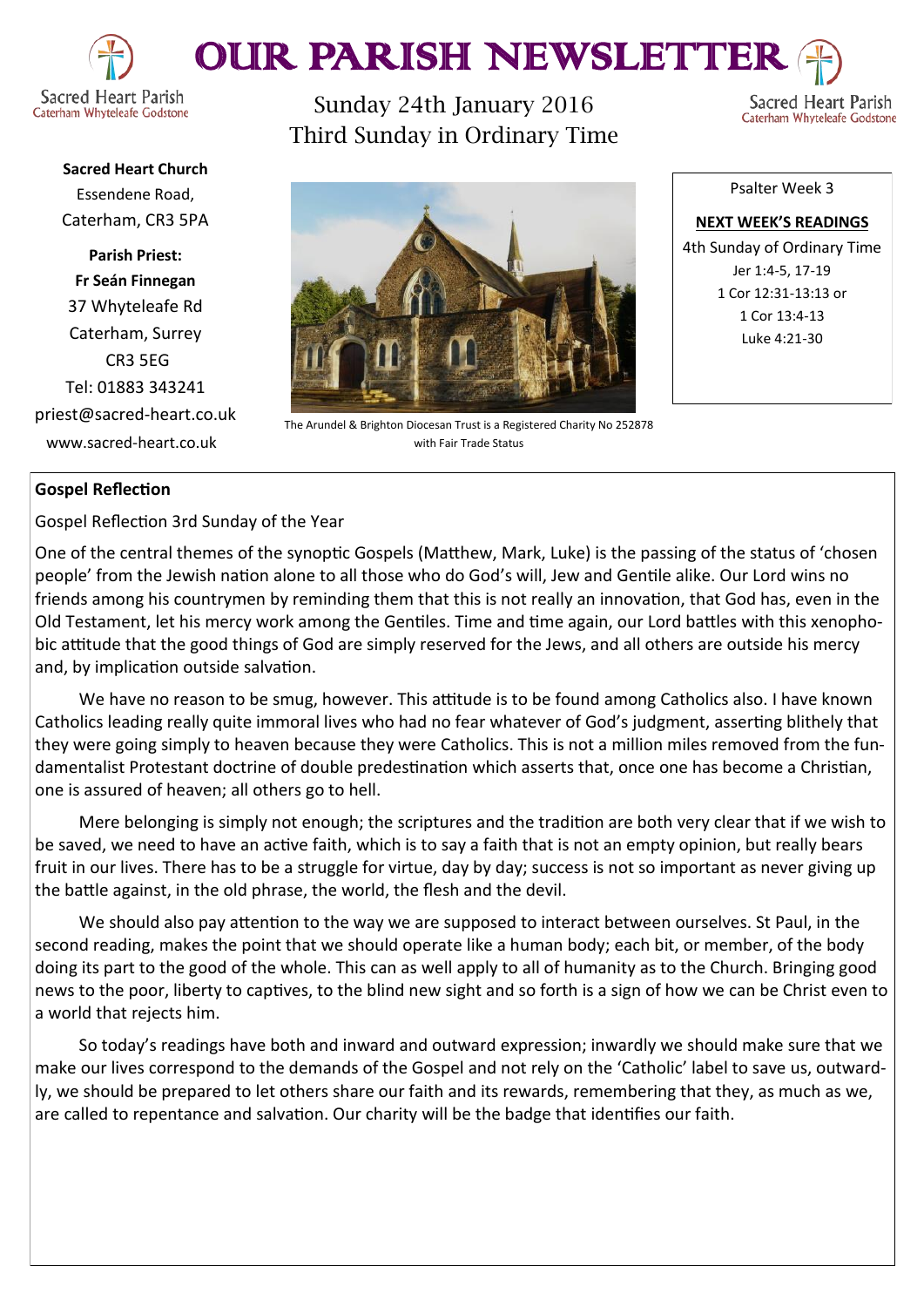

# OUR PARISH NEWSLETTEI

**Sacred Heart Church** Essendene Road, Caterham, CR3 5PA

**Parish Priest: Fr Seán Finnegan** 37 Whyteleafe Rd Caterham, Surrey CR3 5EG Tel: 01883 343241 priest@sacred-heart.co.uk www.sacred-heart.co.uk

Sunday 24th January 2016 Third Sunday in Ordinary Time

Sacred Heart Parish Caterham Whyteleafe Godstone



The Arundel & Brighton Diocesan Trust is a Registered Charity No 252878 with Fair Trade Status

Psalter Week 3

**NEXT WEEK'S READINGS** 4th Sunday of Ordinary Time Jer 1:4-5, 17-19 1 Cor 12:31-13:13 or 1 Cor 13:4-13 Luke 4:21-30

# **Gospel Reflection**

Gospel Reflection 3rd Sunday of the Year

One of the central themes of the synoptic Gospels (Matthew, Mark, Luke) is the passing of the status of 'chosen people' from the Jewish nation alone to all those who do God's will, Jew and Gentile alike. Our Lord wins no friends among his countrymen by reminding them that this is not really an innovation, that God has, even in the Old Testament, let his mercy work among the Gentiles. Time and time again, our Lord battles with this xenophobic attitude that the good things of God are simply reserved for the Jews, and all others are outside his mercy and, by implication outside salvation.

We have no reason to be smug, however. This attitude is to be found among Catholics also. I have known Catholics leading really quite immoral lives who had no fear whatever of God's judgment, asserting blithely that they were going simply to heaven because they were Catholics. This is not a million miles removed from the fundamentalist Protestant doctrine of double predestination which asserts that, once one has become a Christian, one is assured of heaven; all others go to hell.

Mere belonging is simply not enough; the scriptures and the tradition are both very clear that if we wish to be saved, we need to have an active faith, which is to say a faith that is not an empty opinion, but really bears fruit in our lives. There has to be a struggle for virtue, day by day; success is not so important as never giving up the battle against, in the old phrase, the world, the flesh and the devil.

We should also pay attention to the way we are supposed to interact between ourselves. St Paul, in the second reading, makes the point that we should operate like a human body; each bit, or member, of the body doing its part to the good of the whole. This can as well apply to all of humanity as to the Church. Bringing good news to the poor, liberty to captives, to the blind new sight and so forth is a sign of how we can be Christ even to a world that rejects him.

So today's readings have both and inward and outward expression; inwardly we should make sure that we make our lives correspond to the demands of the Gospel and not rely on the 'Catholic' label to save us, outwardly, we should be prepared to let others share our faith and its rewards, remembering that they, as much as we, are called to repentance and salvation. Our charity will be the badge that identifies our faith.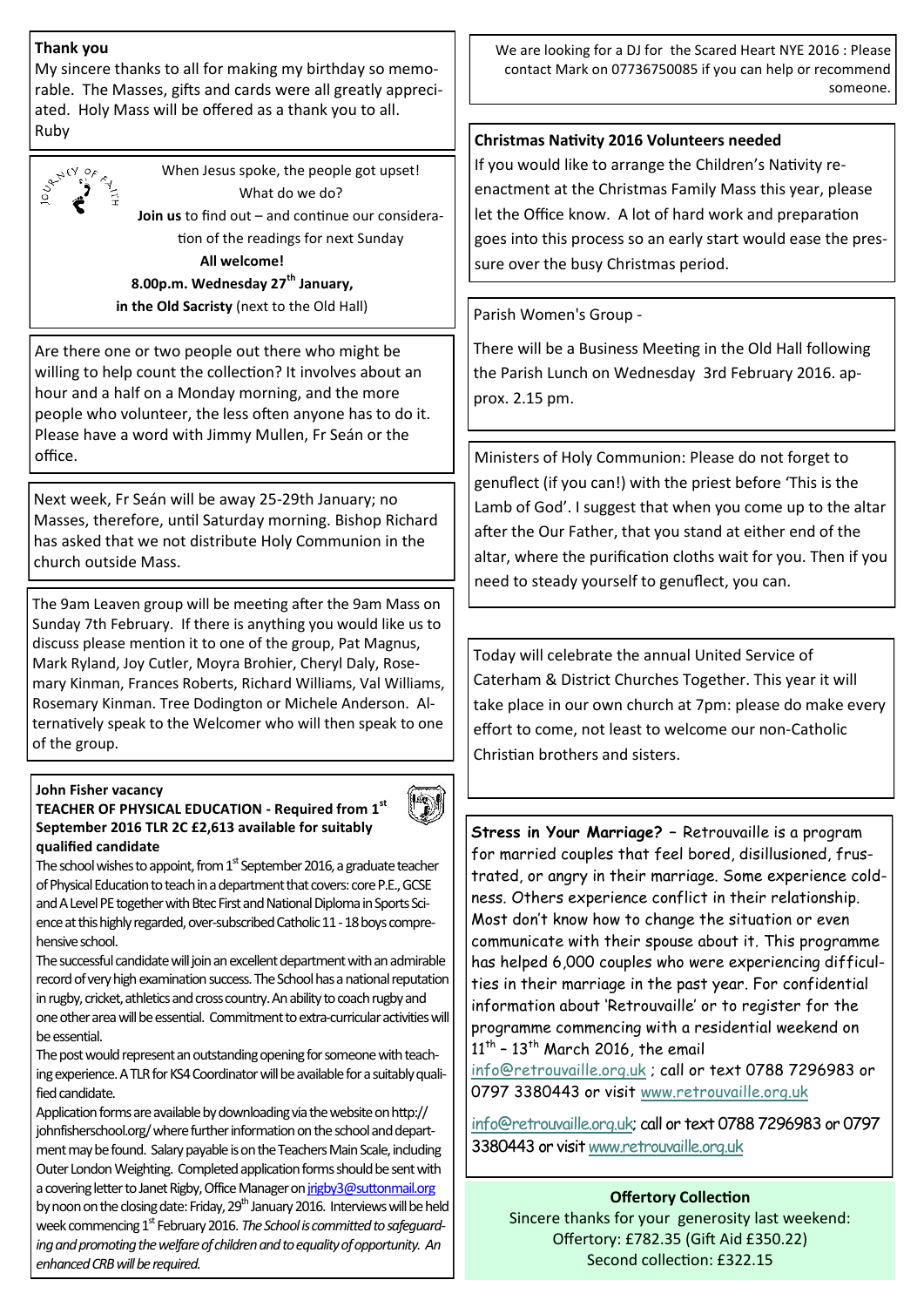### **Thank you**

My sincere thanks to all for making my birthday so memorable. The Masses, gifts and cards were all greatly appreciated. Holy Mass will be offered as a thank you to all. Ruby



When Jesus spoke, the people got upset! What do we do?

**Join us** to find out – and continue our consideration of the readings for next Sunday **All welcome! 8.00p.m. Wednesday 27th January,** 

**in the Old Sacristy** (next to the Old Hall)

Are there one or two people out there who might be willing to help count the collection? It involves about an hour and a half on a Monday morning, and the more people who volunteer, the less often anyone has to do it. Please have a word with Jimmy Mullen, Fr Seán or the office. Ministers of Holy Communion: Please do not forget to

Next week, Fr Seán will be away 25-29th January; no Masses, therefore, until Saturday morning. Bishop Richard has asked that we not distribute Holy Communion in the church outside Mass.

The 9am Leaven group will be meeting after the 9am Mass on Sunday 7th February. If there is anything you would like us to discuss please mention it to one of the group, Pat Magnus, Mark Ryland, Joy Cutler, Moyra Brohier, Cheryl Daly, Rosemary Kinman, Frances Roberts, Richard Williams, Val Williams, Rosemary Kinman. Tree Dodington or Michele Anderson. Alternatively speak to the Welcomer who will then speak to one of the group.

#### **John Fisher vacancy**

#### **TEACHER OF PHYSICAL EDUCATION - Required from 1st September 2016 TLR 2C £2,613 available for suitably qualified candidate**

The school wishes to appoint, from  $1<sup>st</sup>$  September 2016, a graduate teacher of Physical Education to teach in a department that covers: core P.E., GCSE and A Level PE together with Btec First and National Diploma in Sports Science at this highly regarded, over-subscribed Catholic 11 -18 boys comprehensive school.

The successful candidate will join an excellent department with an admirable record of very high examination success. The School has a national reputation in rugby, cricket, athletics and cross country. An ability to coach rugby and one other area will be essential. Commitment to extra-curricular activities will be essential.

The post would represent an outstanding opening for someone with teaching experience. A TLR for KS4 Coordinator will be available for a suitably qualified candidate.

Application forms are available by downloading via the website on http:// johnfisherschool.org/ where further information on the school and department may be found. Salary payable is on the Teachers Main Scale, including Outer London Weighting. Completed application forms should be sent with a covering letter to Janet Rigby, Office Manager on [jrigby3@suttonmail.org](mailto:jrigby3@suttonmail.org) by noon on the closing date: Friday,  $29<sup>th</sup>$  January 2016. Interviews will be held week commencing 1<sup>st</sup> February 2016. The School is committed to safeguard*ing and promoting the welfare of children and to equality of opportunity. An enhanced CRB will be required.*

We are looking for a DJ for the Scared Heart NYE 2016 : Please contact Mark on 07736750085 if you can help or recommend someone.

# **Christmas Nativity 2016 Volunteers needed**

If you would like to arrange the Children's Nativity reenactment at the Christmas Family Mass this year, please let the Office know. A lot of hard work and preparation goes into this process so an early start would ease the pressure over the busy Christmas period.

## Parish Women's Group -

There will be a Business Meeting in the Old Hall following the Parish Lunch on Wednesday 3rd February 2016. approx. 2.15 pm.

genuflect (if you can!) with the priest before 'This is the Lamb of God'. I suggest that when you come up to the altar after the Our Father, that you stand at either end of the altar, where the purification cloths wait for you. Then if you need to steady yourself to genuflect, you can.

Today will celebrate the annual United Service of Caterham & District Churches Together. This year it will take place in our own church at 7pm: please do make every effort to come, not least to welcome our non-Catholic Christian brothers and sisters.

**Stress in Your Marriage? –** Retrouvaille is a program for married couples that feel bored, disillusioned, frustrated, or angry in their marriage. Some experience coldness. Others experience conflict in their relationship. Most don't know how to change the situation or even communicate with their spouse about it. This programme has helped 6,000 couples who were experiencing difficulties in their marriage in the past year. For confidential information about 'Retrouvaille' or to register for the programme commencing with a residential weekend on  $11<sup>th</sup>$  - 13<sup>th</sup> March 2016, the email

[info@retrouvaille.org.uk](mailto:info@retrouvaille.org.uk) ; call or text 0788 7296983 or 0797 3380443 or visit [www.retrouvaille.org.uk](http://www.retrouvaille.org.uk)

[info@retrouvaille.org.uk;](mailto:info@retrouvaille.org.uk) call or text 0788 7296983 or 0797 3380443 or visit [www.retrouvaille.org.uk](http://www.retrouvaille.org.uk)

# **Offertory Collection**

Sincere thanks for your generosity last weekend: Offertory: £782.35 (Gift Aid £350.22) Second collection: £322.15

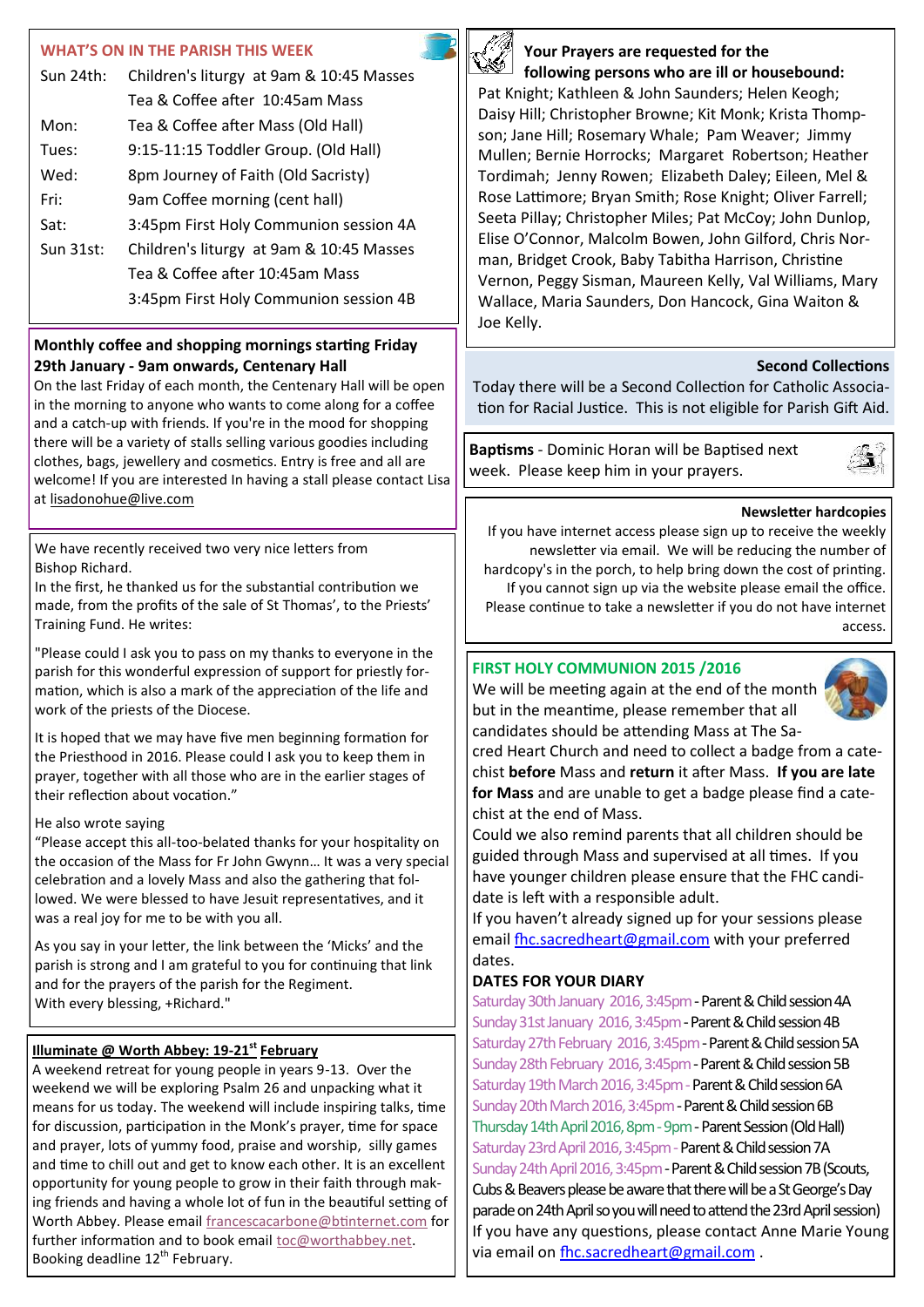# **WHAT'S ON IN THE PARISH THIS WEEK**

| Sun 24th: | Children's liturgy at 9am & 10:45 Masses |  |
|-----------|------------------------------------------|--|
|           | Tea & Coffee after 10:45am Mass          |  |
| Mon:      | Tea & Coffee after Mass (Old Hall)       |  |
| Tues:     | 9:15-11:15 Toddler Group. (Old Hall)     |  |
| Wed:      | 8pm Journey of Faith (Old Sacristy)      |  |
| Fri:      | 9am Coffee morning (cent hall)           |  |
| Sat:      | 3:45pm First Holy Communion session 4A   |  |
| Sun 31st: | Children's liturgy at 9am & 10:45 Masses |  |
|           | Tea & Coffee after 10:45am Mass          |  |
|           | 3:45pm First Holy Communion session 4B   |  |

# **Monthly coffee and shopping mornings starting Friday 29th January - 9am onwards, Centenary Hall**

On the last Friday of each month, the Centenary Hall will be open in the morning to anyone who wants to come along for a coffee and a catch-up with friends. If you're in the mood for shopping there will be a variety of stalls selling various goodies including clothes, bags, jewellery and cosmetics. Entry is free and all are welcome! If you are interested In having a stall please contact Lisa at [lisadonohue@live.com](mailto:lisadonohue@live.com)

We have recently received two very nice letters from Bishop Richard.

In the first, he thanked us for the substantial contribution we made, from the profits of the sale of St Thomas', to the Priests' Training Fund. He writes:

"Please could I ask you to pass on my thanks to everyone in the parish for this wonderful expression of support for priestly formation, which is also a mark of the appreciation of the life and work of the priests of the Diocese.

It is hoped that we may have five men beginning formation for the Priesthood in 2016. Please could I ask you to keep them in prayer, together with all those who are in the earlier stages of their reflection about vocation."

# He also wrote saying

"Please accept this all-too-belated thanks for your hospitality on the occasion of the Mass for Fr John Gwynn… It was a very special celebration and a lovely Mass and also the gathering that followed. We were blessed to have Jesuit representatives, and it was a real joy for me to be with you all.

As you say in your letter, the link between the 'Micks' and the parish is strong and I am grateful to you for continuing that link and for the prayers of the parish for the Regiment. With every blessing, +Richard."

# **Illuminate @ Worth Abbey: 19-21st February**

A weekend retreat for young people in years 9-13. Over the weekend we will be exploring Psalm 26 and unpacking what it means for us today. The weekend will include inspiring talks, time for discussion, participation in the Monk's prayer, time for space and prayer, lots of yummy food, praise and worship, silly games and time to chill out and get to know each other. It is an excellent opportunity for young people to grow in their faith through making friends and having a whole lot of fun in the beautiful setting of Worth Abbey. Please email [francescacarbone@btinternet.com](mailto:francescacarbone@btinternet.com) for further information and to book email [toc@worthabbey.net.](mailto:toc@worthabbey.net) Booking deadline 12<sup>th</sup> February.



## **Your Prayers are requested for the following persons who are ill or housebound:**

Pat Knight; Kathleen & John Saunders; Helen Keogh; Daisy Hill; Christopher Browne; Kit Monk; Krista Thompson; Jane Hill; Rosemary Whale; Pam Weaver; Jimmy Mullen; Bernie Horrocks; Margaret Robertson; Heather Tordimah; Jenny Rowen; Elizabeth Daley; Eileen, Mel & Rose Lattimore; Bryan Smith; Rose Knight; Oliver Farrell; Seeta Pillay; Christopher Miles; Pat McCoy; John Dunlop, Elise O'Connor, Malcolm Bowen, John Gilford, Chris Norman, Bridget Crook, Baby Tabitha Harrison, Christine Vernon, Peggy Sisman, Maureen Kelly, Val Williams, Mary Wallace, Maria Saunders, Don Hancock, Gina Waiton & Joe Kelly.

# **Second Collections**

Today there will be a Second Collection for Catholic Association for Racial Justice. This is not eligible for Parish Gift Aid.

**Baptisms** - Dominic Horan will be Baptised next week. Please keep him in your prayers.



#### **Newsletter hardcopies**

If you have internet access please sign up to receive the weekly newsletter via email. We will be reducing the number of hardcopy's in the porch, to help bring down the cost of printing. If you cannot sign up via the website please email the office. Please continue to take a newsletter if you do not have internet

access.

# **FIRST HOLY COMMUNION 2015 /2016**

We will be meeting again at the end of the month but in the meantime, please remember that all candidates should be attending Mass at The Sa-



cred Heart Church and need to collect a badge from a catechist **before** Mass and **return** it after Mass. **If you are late for Mass** and are unable to get a badge please find a catechist at the end of Mass.

Could we also remind parents that all children should be guided through Mass and supervised at all times. If you have younger children please ensure that the FHC candidate is left with a responsible adult.

If you haven't already signed up for your sessions please email [fhc.sacredheart@gmail.com](mailto:fhc.sacredheart@gmail.com) with your preferred dates.

# **DATES FOR YOUR DIARY**

Saturday 30th January 2016, 3:45pm - Parent & Child session 4A Sunday 31st January 2016, 3:45pm - Parent & Child session 4B Saturday 27th February 2016, 3:45pm - Parent & Child session 5A Sunday 28th February 2016, 3:45pm - Parent & Child session 5B Saturday 19th March 2016, 3:45pm - Parent & Child session 6A Sunday 20th March 2016, 3:45pm - Parent & Child session 6B Thursday 14th April 2016, 8pm - 9pm - Parent Session (Old Hall) Saturday 23rd April 2016, 3:45pm - Parent & Child session 7A Sunday 24th April 2016, 3:45pm - Parent & Child session 7B (Scouts, Cubs & Beavers please be aware that there will be a St George's Day parade on 24th April so you will need to attend the 23rd April session) If you have any questions, please contact Anne Marie Young via email on [fhc.sacredheart@gmail.com](mailto:fhc.sacredheart@gmail.com) .